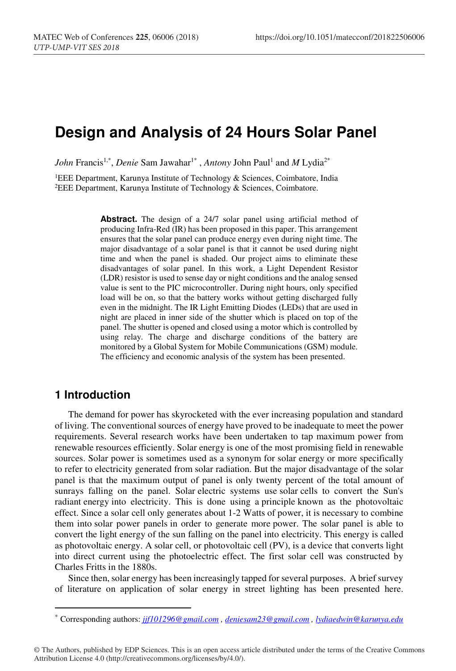# **Design and Analysis of 24 Hours Solar Panel**

*John Francis<sup>1,\*</sup>, Denie Sam Jawahar<sup>1\*</sup>, <i>Antony J*ohn Paul<sup>1</sup> and *M* Lydia<sup>2\*</sup>

<sup>1</sup>EEE Department, Karunya Institute of Technology & Sciences, Coimbatore, India <sup>2</sup>EEE Department, Karunya Institute of Technology & Sciences, Coimbatore.

Abstract. The design of a 24/7 solar panel using artificial method of producing Infra-Red (IR) has been proposed in this paper. This arrangement ensures that the solar panel can produce energy even during night time. The major disadvantage of a solar panel is that it cannot be used during night time and when the panel is shaded. Our project aims to eliminate these disadvantages of solar panel. In this work, a Light Dependent Resistor (LDR) resistor is used to sense day or night conditions and the analog sensed value is sent to the PIC microcontroller. During night hours, only specified load will be on, so that the battery works without getting discharged fully even in the midnight. The IR Light Emitting Diodes (LEDs) that are used in night are placed in inner side of the shutter which is placed on top of the panel. The shutter is opened and closed using a motor which is controlled by using relay. The charge and discharge conditions of the battery are monitored by a Global System for Mobile Communications (GSM) module. The efficiency and economic analysis of the system has been presented.

## **1 Introduction**

-

The demand for power has skyrocketed with the ever increasing population and standard of living. The conventional sources of energy have proved to be inadequate to meet the power requirements. Several research works have been undertaken to tap maximum power from renewable resources efficiently. Solar energy is one of the most promising field in renewable sources. Solar power is sometimes used as a synonym for solar energy or more specifically to refer to electricity generated from solar radiation. But the major disadvantage of the solar panel is that the maximum output of panel is only twenty percent of the total amount of sunrays falling on the panel. Solar electric systems use solar cells to convert the Sun's radiant energy into electricity. This is done using a principle known as the photovoltaic effect. Since a solar cell only generates about 1-2 Watts of power, it is necessary to combine them into solar power panels in order to generate more power. The solar panel is able to convert the light energy of the sun falling on the panel into electricity. This energy is called as photovoltaic energy. A solar cell, or photovoltaic cell (PV), is a device that converts light into direct current using the photoelectric effect. The first solar cell was constructed by Charles Fritts in the 1880s.

Since then, solar energy has been increasingly tapped for several purposes. A brief survey of literature on application of solar energy in street lighting has been presented here.

© The Authors, published by EDP Sciences. This is an open access article distributed under the terms of the Creative Commons Attribution License 4.0 (http://creativecommons.org/licenses/by/4.0/).

<sup>\*</sup> Corresponding authors: *jjf101296@gmail.com , deniesam23@gmail.com , lydiaedwin@karunya.edu*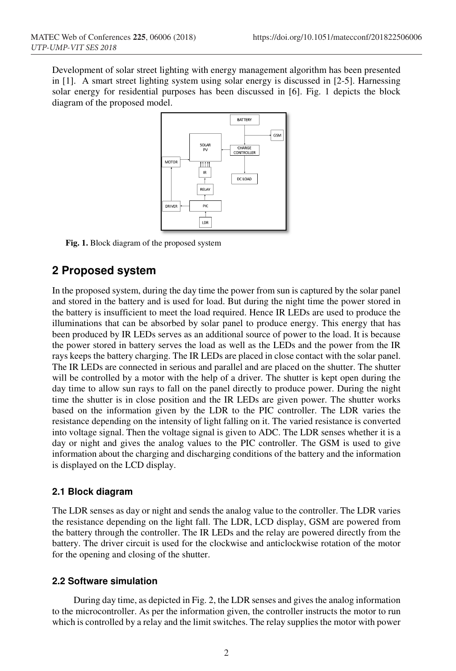Development of solar street lighting with energy management algorithm has been presented in [1]. A smart street lighting system using solar energy is discussed in [2-5]. Harnessing solar energy for residential purposes has been discussed in [6]. Fig. 1 depicts the block diagram of the proposed model.



**Fig. 1.** Block diagram of the proposed system

### **2 Proposed system**

In the proposed system, during the day time the power from sun is captured by the solar panel and stored in the battery and is used for load. But during the night time the power stored in the battery is insufficient to meet the load required. Hence IR LEDs are used to produce the illuminations that can be absorbed by solar panel to produce energy. This energy that has been produced by IR LEDs serves as an additional source of power to the load. It is because the power stored in battery serves the load as well as the LEDs and the power from the IR rays keeps the battery charging. The IR LEDs are placed in close contact with the solar panel. The IR LEDs are connected in serious and parallel and are placed on the shutter. The shutter will be controlled by a motor with the help of a driver. The shutter is kept open during the day time to allow sun rays to fall on the panel directly to produce power. During the night time the shutter is in close position and the IR LEDs are given power. The shutter works based on the information given by the LDR to the PIC controller. The LDR varies the resistance depending on the intensity of light falling on it. The varied resistance is converted into voltage signal. Then the voltage signal is given to ADC. The LDR senses whether it is a day or night and gives the analog values to the PIC controller. The GSM is used to give information about the charging and discharging conditions of the battery and the information is displayed on the LCD display.

### **2.1 Block diagram**

The LDR senses as day or night and sends the analog value to the controller. The LDR varies the resistance depending on the light fall. The LDR, LCD display, GSM are powered from the battery through the controller. The IR LEDs and the relay are powered directly from the battery. The driver circuit is used for the clockwise and anticlockwise rotation of the motor for the opening and closing of the shutter.

### **2.2 Software simulation**

 During day time, as depicted in Fig. 2, the LDR senses and gives the analog information to the microcontroller. As per the information given, the controller instructs the motor to run which is controlled by a relay and the limit switches. The relay supplies the motor with power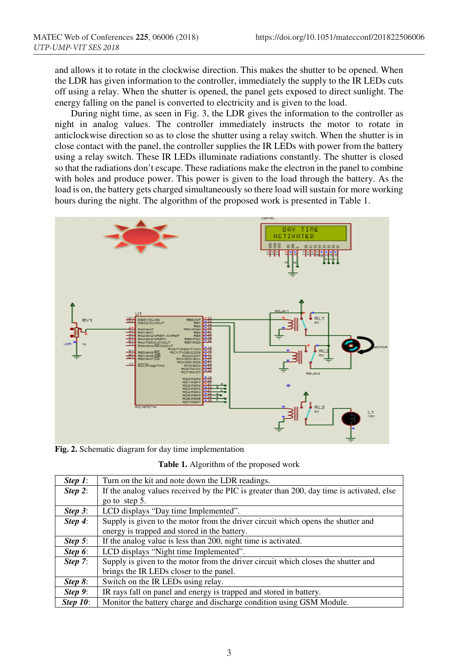and allows it to rotate in the clockwise direction. This makes the shutter to be opened. When the LDR has given information to the controller, immediately the supply to the IR LEDs cuts off using a relay. When the shutter is opened, the panel gets exposed to direct sunlight. The energy falling on the panel is converted to electricity and is given to the load.

 During night time, as seen in Fig. 3, the LDR gives the information to the controller as night in analog values. The controller immediately instructs the motor to rotate in anticlockwise direction so as to close the shutter using a relay switch. When the shutter is in close contact with the panel, the controller supplies the IR LEDs with power from the battery using a relay switch. These IR LEDs illuminate radiations constantly. The shutter is closed so that the radiations don't escape. These radiations make the electron in the panel to combine with holes and produce power. This power is given to the load through the battery. As the load is on, the battery gets charged simultaneously so there load will sustain for more working hours during the night. The algorithm of the proposed work is presented in Table 1.



**Fig. 2.** Schematic diagram for day time implementation

**Table 1.** Algorithm of the proposed work

| Step $1$ :  | Turn on the kit and note down the LDR readings.                                           |  |
|-------------|-------------------------------------------------------------------------------------------|--|
| Step 2:     | If the analog values received by the PIC is greater than 200, day time is activated, else |  |
|             | go to step 5.                                                                             |  |
| Step $3$ :  | LCD displays "Day time Implemented".                                                      |  |
| Step $4$ :  | Supply is given to the motor from the driver circuit which opens the shutter and          |  |
|             | energy is trapped and stored in the battery.                                              |  |
| Step $5$ :  | If the analog value is less than 200, night time is activated.                            |  |
| Step $6$ :  | LCD displays "Night time Implemented".                                                    |  |
| Step $7$ :  | Supply is given to the motor from the driver circuit which closes the shutter and         |  |
|             | brings the IR LEDs closer to the panel.                                                   |  |
| Step $8$ :  | Switch on the IR LEDs using relay.                                                        |  |
| Step $9$ :  | IR rays fall on panel and energy is trapped and stored in battery.                        |  |
| Step $10$ : | Monitor the battery charge and discharge condition using GSM Module.                      |  |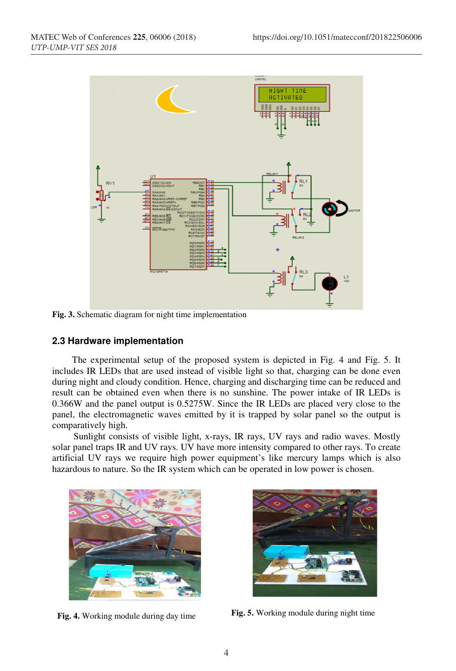

**Fig. 3.** Schematic diagram for night time implementation

#### **2.3 Hardware implementation**

The experimental setup of the proposed system is depicted in Fig. 4 and Fig. 5. It includes IR LEDs that are used instead of visible light so that, charging can be done even during night and cloudy condition. Hence, charging and discharging time can be reduced and result can be obtained even when there is no sunshine. The power intake of IR LEDs is 0.366W and the panel output is 0.5275W. Since the IR LEDs are placed very close to the panel, the electromagnetic waves emitted by it is trapped by solar panel so the output is comparatively high.

 Sunlight consists of visible light, x-rays, IR rays, UV rays and radio waves. Mostly solar panel traps IR and UV rays. UV have more intensity compared to other rays. To create artificial UV rays we require high power equipment's like mercury lamps which is also hazardous to nature. So the IR system which can be operated in low power is chosen.



**Fig. 4.** Working module during day time



**Fig. 5.** Working module during night time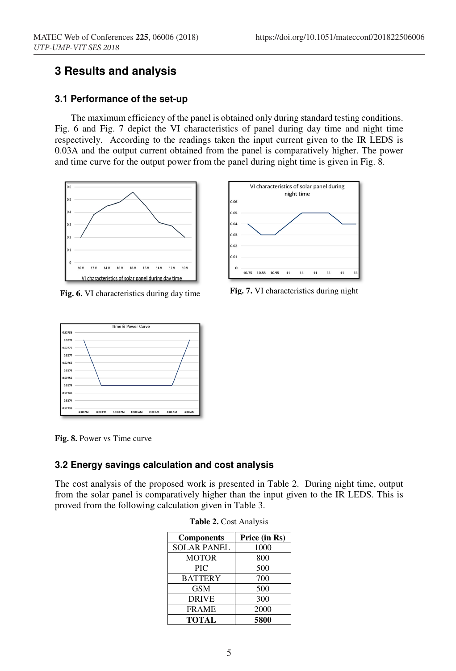# **3 Results and analysis**

### **3.1 Performance of the set-up**

The maximum efficiency of the panel is obtained only during standard testing conditions. Fig. 6 and Fig. 7 depict the VI characteristics of panel during day time and night time respectively. According to the readings taken the input current given to the IR LEDS is 0.03A and the output current obtained from the panel is comparatively higher. The power and time curve for the output power from the panel during night time is given in Fig. 8.



**Fig. 6.** VI characteristics during day time **Fig. 7.** VI characteristics during night





**Fig. 8.** Power vs Time curve

### **3.2 Energy savings calculation and cost analysis**

The cost analysis of the proposed work is presented in Table 2. During night time, output from the solar panel is comparatively higher than the input given to the IR LEDS. This is proved from the following calculation given in Table 3.

| <b>Components</b>  | Price (in Rs) |
|--------------------|---------------|
| <b>SOLAR PANEL</b> | 1000          |
| <b>MOTOR</b>       | 800           |
| PIC                | 500           |
| <b>BATTERY</b>     | 700           |
| <b>GSM</b>         | 500           |
| <b>DRIVE</b>       | 300           |
| <b>FRAME</b>       | 2000          |
| <b>TOTAL</b>       | 5800          |